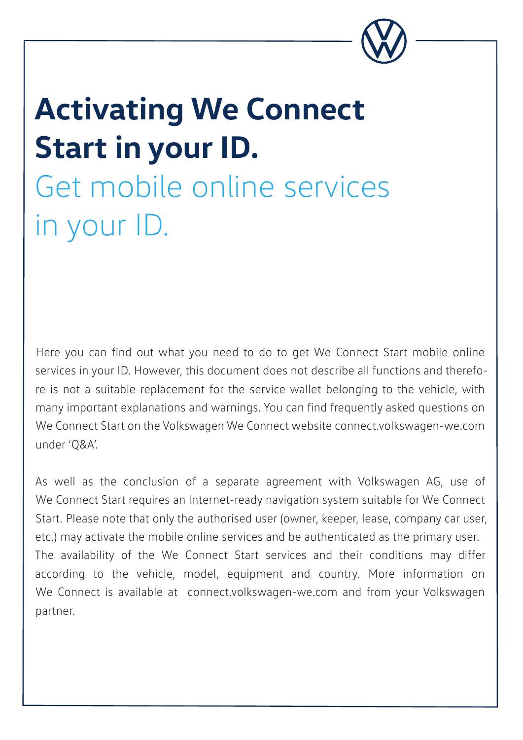

# **Activating We Connect Start in your ID.** Get mobile online services

in your ID.

Here you can find out what you need to do to get We Connect Start mobile online services in your ID. However, this document does not describe all functions and therefore is not a suitable replacement for the service wallet belonging to the vehicle, with many important explanations and warnings. You can find frequently asked questions on We Connect Start on the Volkswagen We Connect website connect.volkswagen-we.com under 'Q&A'.

As well as the conclusion of a separate agreement with Volkswagen AG, use of We Connect Start requires an Internet-ready navigation system suitable for We Connect Start. Please note that only the authorised user (owner, keeper, lease, company car user, etc.) may activate the mobile online services and be authenticated as the primary user. The availability of the We Connect Start services and their conditions may differ according to the vehicle, model, equipment and country. More information on We Connect is available at connect.volkswagen-we.com and from your Volkswagen partner.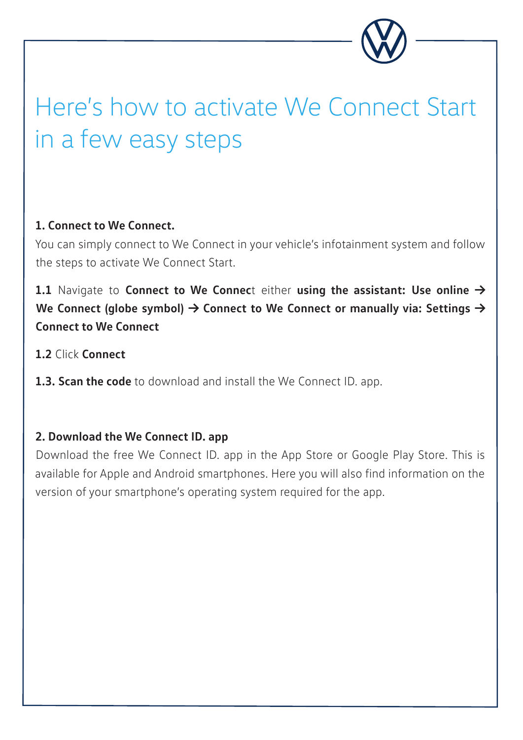

## Here's how to activate We Connect Start in a few easy steps

#### **1. Connect to We Connect.**

You can simply connect to We Connect in your vehicle's infotainment system and follow the steps to activate We Connect Start.

#### **1.1** Navigate to Connect to We Connect either using the assistant: Use online → We Connect (globe symbol)  $\rightarrow$  Connect to We Connect or manually via: Settings  $\rightarrow$ **Connect to We Connect**

- **1.2** Click **Connect**
- **1.3. Scan the code** to download and install the We Connect ID. app.

#### **2. Download the We Connect ID. app**

Download the free We Connect ID. app in the App Store or Google Play Store. This is available for Apple and Android smartphones. Here you will also find information on the version of your smartphone's operating system required for the app.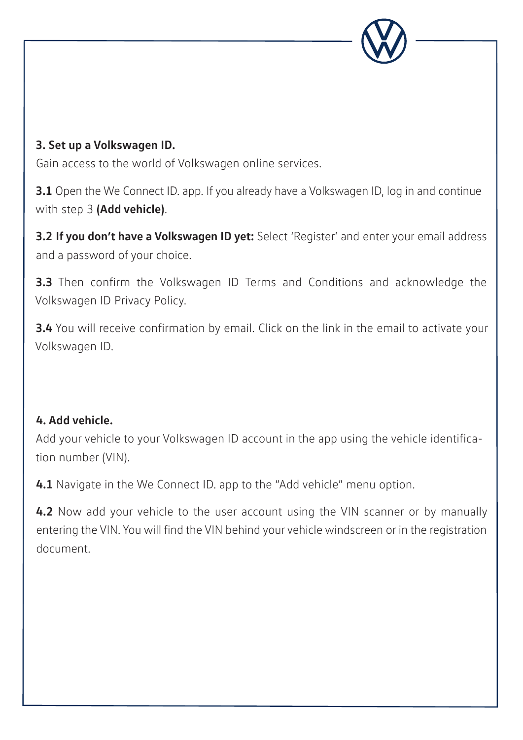

#### **3. Set up a Volkswagen ID.**

Gain access to the world of Volkswagen online services.

**3.1** Open the We Connect ID. app. If you already have a Volkswagen ID, log in and continue with step 3 **(Add vehicle)**.

**3.2 If you don't have a Volkswagen ID yet:** Select 'Register' and enter your email address and a password of your choice.

**3.3** Then confirm the Volkswagen ID Terms and Conditions and acknowledge the Volkswagen ID Privacy Policy.

**3.4** You will receive confirmation by email. Click on the link in the email to activate your Volkswagen ID.

#### **4. Add vehicle.**

Add your vehicle to your Volkswagen ID account in the app using the vehicle identification number (VIN).

**4.1** Navigate in the We Connect ID. app to the "Add vehicle" menu option.

**4.2** Now add your vehicle to the user account using the VIN scanner or by manually entering the VIN. You will find the VIN behind your vehicle windscreen or in the registration document.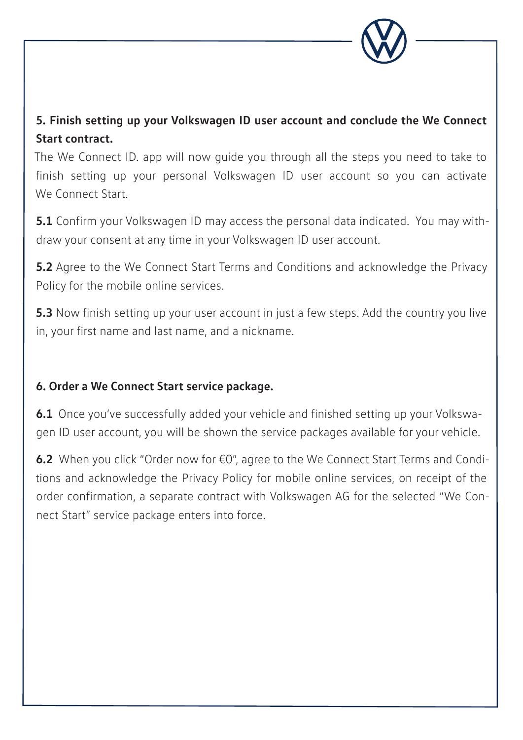

#### **5. Finish setting up your Volkswagen ID user account and conclude the We Connect Start contract.**

The We Connect ID. app will now guide you through all the steps you need to take to finish setting up your personal Volkswagen ID user account so you can activate We Connect Start.

**5.1** Confirm your Volkswagen ID may access the personal data indicated. You may withdraw your consent at any time in your Volkswagen ID user account.

**5.2** Agree to the We Connect Start Terms and Conditions and acknowledge the Privacy Policy for the mobile online services.

**5.3** Now finish setting up your user account in just a few steps. Add the country you live in, your first name and last name, and a nickname.

#### **6. Order a We Connect Start service package.**

**6.1** Once you've successfully added your vehicle and finished setting up your Volkswagen ID user account, you will be shown the service packages available for your vehicle.

**6.2** When you click "Order now for €0", agree to the We Connect Start Terms and Conditions and acknowledge the Privacy Policy for mobile online services, on receipt of the order confirmation, a separate contract with Volkswagen AG for the selected "We Connect Start" service package enters into force.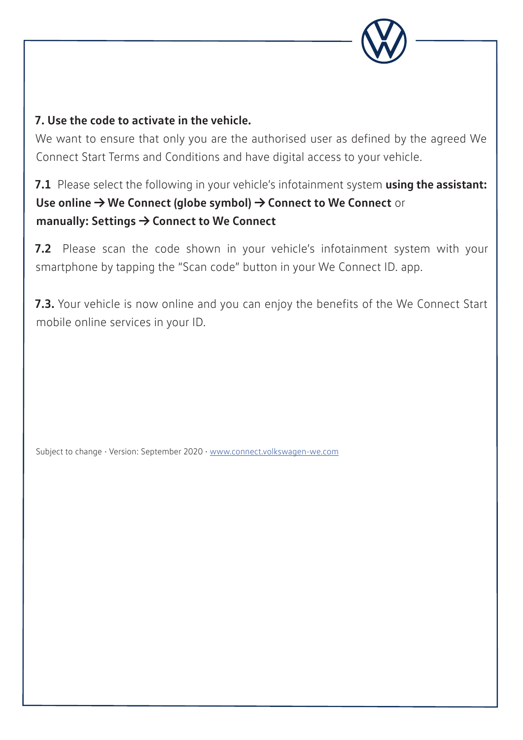

#### **7. Use the code to activate in the vehicle.**

We want to ensure that only you are the authorised user as defined by the agreed We Connect Start Terms and Conditions and have digital access to your vehicle.

#### **7.1** Please select the following in your vehicle's infotainment system **using the assistant: Use online → We Connect (globe symbol) → Connect to We Connect** or **manually: Settings → Connect to We Connect**

**7.2** Please scan the code shown in your vehicle's infotainment system with your smartphone by tapping the "Scan code" button in your We Connect ID. app.

**7.3.** Your vehicle is now online and you can enjoy the benefits of the We Connect Start mobile online services in your ID.

Subject to change • Version: September 2020 • www.connect.volkswagen-we.com